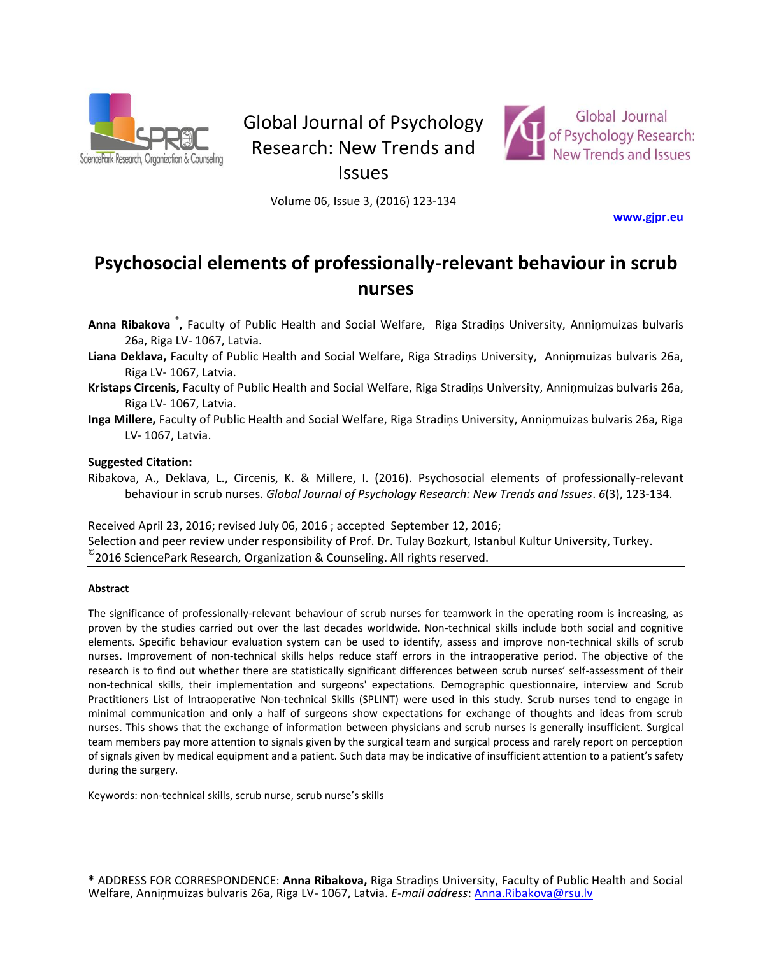

# Global Journal of Psychology Research: New Trends and



Issues

Volume 06, Issue 3, (2016) 123-134

**[www.gjpr.eu](http://www.gjpr.eu/)** 

# **Psychosocial elements of professionally-relevant behaviour in scrub nurses**

**Anna Ribakova \* ,** Faculty of Public Health and Social Welfare, Riga Stradiņs University, Anniņmuizas bulvaris 26a, Riga LV- 1067, Latvia.

- **Liana Deklava,** Faculty of Public Health and Social Welfare, Riga Stradiņs University, Anniņmuizas bulvaris 26a, Riga LV- 1067, Latvia.
- **Kristaps Circenis,** Faculty of Public Health and Social Welfare, Riga Stradiņs University, Anniņmuizas bulvaris 26a, Riga LV- 1067, Latvia.
- **Inga Millere,** Faculty of Public Health and Social Welfare, Riga Stradiņs University, Anniņmuizas bulvaris 26a, Riga LV- 1067, Latvia.

#### **Suggested Citation:**

Ribakova, A., Deklava, L., Circenis, K. & Millere, I. (2016). Psychosocial elements of professionally-relevant behaviour in scrub nurses. *Global Journal of Psychology Research: New Trends and Issues*. *6*(3), 123-134.

Received April 23, 2016; revised July 06, 2016 ; accepted September 12, 2016; Selection and peer review under responsibility of Prof. Dr. Tulay Bozkurt, Istanbul Kultur University, Turkey.  $^{\circ}$ 2016 SciencePark Research, Organization & Counseling. All rights reserved.

#### **Abstract**

 $\overline{a}$ 

The significance of professionally-relevant behaviour of scrub nurses for teamwork in the operating room is increasing, as proven by the studies carried out over the last decades worldwide. Non-technical skills include both social and cognitive elements. Specific behaviour evaluation system can be used to identify, assess and improve non-technical skills of scrub nurses. Improvement of non-technical skills helps reduce staff errors in the intraoperative period. The objective of the research is to find out whether there are statistically significant differences between scrub nurses' self-assessment of their non-technical skills, their implementation and surgeons' expectations. Demographic questionnaire, interview and Scrub Practitioners List of Intraoperative Non-technical Skills (SPLINT) were used in this study. Scrub nurses tend to engage in minimal communication and only a half of surgeons show expectations for exchange of thoughts and ideas from scrub nurses. This shows that the exchange of information between physicians and scrub nurses is generally insufficient. Surgical team members pay more attention to signals given by the surgical team and surgical process and rarely report on perception of signals given by medical equipment and a patient. Such data may be indicative of insufficient attention to a patient's safety during the surgery.

Keywords: non-technical skills, scrub nurse, scrub nurse's skills

**<sup>\*</sup>** ADDRESS FOR CORRESPONDENCE: **Anna Ribakova,** Riga Stradiņs University, Faculty of Public Health and Social Welfare, Anniņmuizas bulvaris 26a, Riga LV- 1067, Latvia. *E-mail address*: [Anna.Ribakova@rsu.lv](mailto:Anna.Ribakova@rsu.lv)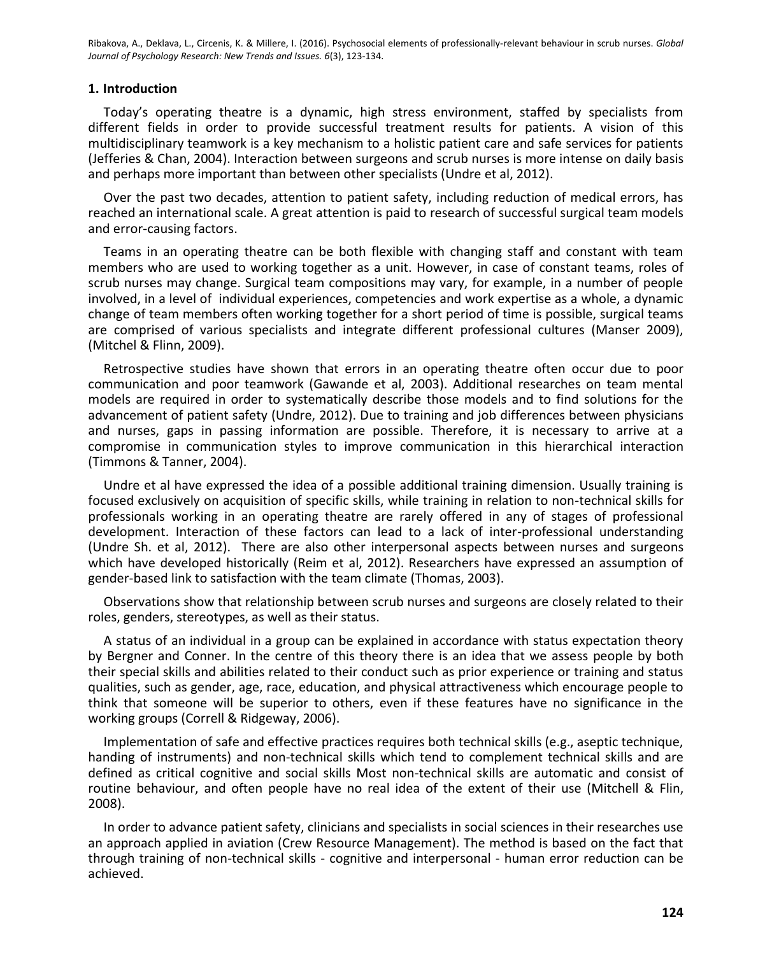## **1. Introduction**

Today's operating theatre is a dynamic, high stress environment, staffed by specialists from different fields in order to provide successful treatment results for patients. A vision of this multidisciplinary teamwork is a key mechanism to a holistic patient care and safe services for patients (Jefferies & Chan, 2004). Interaction between surgeons and scrub nurses is more intense on daily basis and perhaps more important than between other specialists (Undre et al, 2012).

Over the past two decades, attention to patient safety, including reduction of medical errors, has reached an international scale. A great attention is paid to research of successful surgical team models and error-causing factors.

Teams in an operating theatre can be both flexible with changing staff and constant with team members who are used to working together as a unit. However, in case of constant teams, roles of scrub nurses may change. Surgical team compositions may vary, for example, in a number of people involved, in a level of individual experiences, competencies and work expertise as a whole, a dynamic change of team members often working together for a short period of time is possible, surgical teams are comprised of various specialists and integrate different professional cultures (Manser 2009), (Mitchel & Flinn, 2009).

Retrospective studies have shown that errors in an operating theatre often occur due to poor communication and poor teamwork (Gawande et al, 2003). Additional researches on team mental models are required in order to systematically describe those models and to find solutions for the advancement of patient safety (Undre, 2012). Due to training and job differences between physicians and nurses, gaps in passing information are possible. Therefore, it is necessary to arrive at a compromise in communication styles to improve communication in this hierarchical interaction (Timmons & Tanner, 2004).

Undre et al have expressed the idea of a possible additional training dimension. Usually training is focused exclusively on acquisition of specific skills, while training in relation to non-technical skills for professionals working in an operating theatre are rarely offered in any of stages of professional development. Interaction of these factors can lead to a lack of inter-professional understanding (Undre Sh. et al, 2012). There are also other interpersonal aspects between nurses and surgeons which have developed historically (Reim et al, 2012). Researchers have expressed an assumption of gender-based link to satisfaction with the team climate (Thomas, 2003).

Observations show that relationship between scrub nurses and surgeons are closely related to their roles, genders, stereotypes, as well as their status.

A status of an individual in a group can be explained in accordance with status expectation theory by Bergner and Conner. In the centre of this theory there is an idea that we assess people by both their special skills and abilities related to their conduct such as prior experience or training and status qualities, such as gender, age, race, education, and physical attractiveness which encourage people to think that someone will be superior to others, even if these features have no significance in the working groups (Correll & Ridgeway, 2006).

Implementation of safe and effective practices requires both technical skills (e.g., aseptic technique, handing of instruments) and non-technical skills which tend to complement technical skills and are defined as critical cognitive and social skills Most non-technical skills are automatic and consist of routine behaviour, and often people have no real idea of the extent of their use (Mitchell & Flin, 2008).

In order to advance patient safety, clinicians and specialists in social sciences in their researches use an approach applied in aviation (Crew Resource Management). The method is based on the fact that through training of non-technical skills - cognitive and interpersonal - human error reduction can be achieved.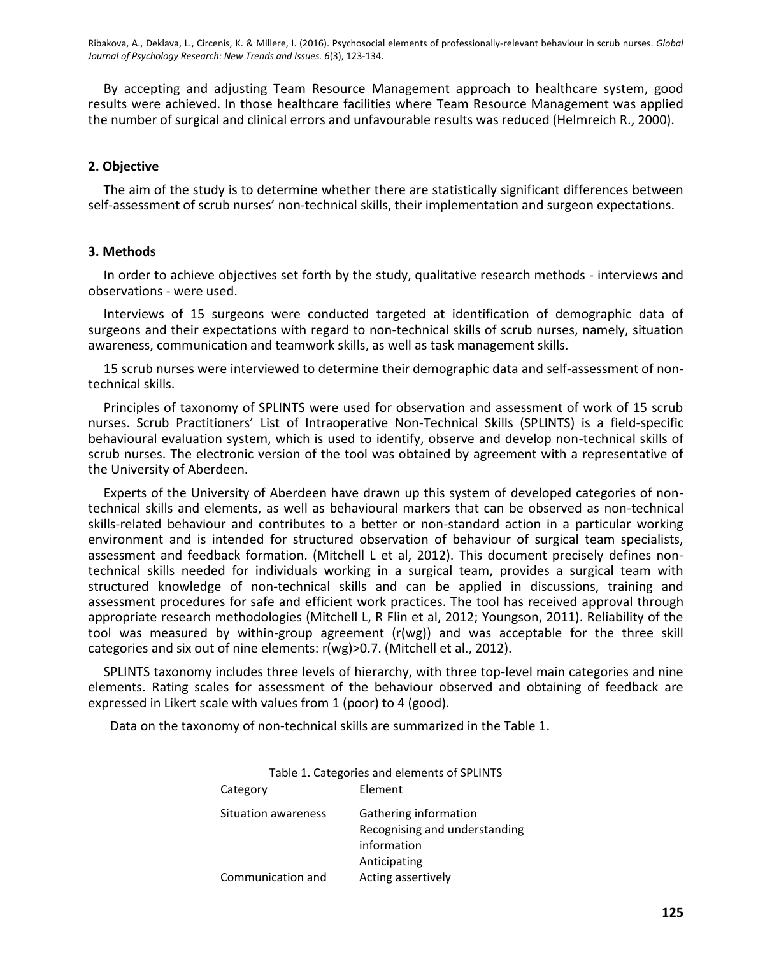By accepting and adjusting Team Resource Management approach to healthcare system, good results were achieved. In those healthcare facilities where Team Resource Management was applied the number of surgical and clinical errors and unfavourable results was reduced (Helmreich R., 2000).

# **2. Objective**

The aim of the study is to determine whether there are statistically significant differences between self-assessment of scrub nurses' non-technical skills, their implementation and surgeon expectations.

# **3. Methods**

In order to achieve objectives set forth by the study, qualitative research methods - interviews and observations - were used.

Interviews of 15 surgeons were conducted targeted at identification of demographic data of surgeons and their expectations with regard to non-technical skills of scrub nurses, namely, situation awareness, communication and teamwork skills, as well as task management skills.

15 scrub nurses were interviewed to determine their demographic data and self-assessment of nontechnical skills.

Principles of taxonomy of SPLINTS were used for observation and assessment of work of 15 scrub nurses. Scrub Practitioners' List of Intraoperative Non-Technical Skills (SPLINTS) is a field-specific behavioural evaluation system, which is used to identify, observe and develop non-technical skills of scrub nurses. The electronic version of the tool was obtained by agreement with a representative of the University of Aberdeen.

Experts of the University of Aberdeen have drawn up this system of developed categories of nontechnical skills and elements, as well as behavioural markers that can be observed as non-technical skills-related behaviour and contributes to a better or non-standard action in a particular working environment and is intended for structured observation of behaviour of surgical team specialists, assessment and feedback formation. (Mitchell L et al, 2012). This document precisely defines nontechnical skills needed for individuals working in a surgical team, provides a surgical team with structured knowledge of non-technical skills and can be applied in discussions, training and assessment procedures for safe and efficient work practices. The tool has received approval through appropriate research methodologies (Mitchell L, R Flin et al, 2012; Youngson, 2011). Reliability of the tool was measured by within-group agreement (r(wg)) and was acceptable for the three skill categories and six out of nine elements: r(wg)>0.7. (Mitchell et al., 2012).

SPLINTS taxonomy includes three levels of hierarchy, with three top-level main categories and nine elements. Rating scales for assessment of the behaviour observed and obtaining of feedback are expressed in Likert scale with values from 1 (poor) to 4 (good).

Data on the taxonomy of non-technical skills are summarized in the Table 1.

| Table 1. Categories and elements of SPLINTS |                                                                                       |  |  |  |
|---------------------------------------------|---------------------------------------------------------------------------------------|--|--|--|
| Category                                    | Element                                                                               |  |  |  |
| Situation awareness                         | Gathering information<br>Recognising and understanding<br>information<br>Anticipating |  |  |  |
| Communication and                           | Acting assertively                                                                    |  |  |  |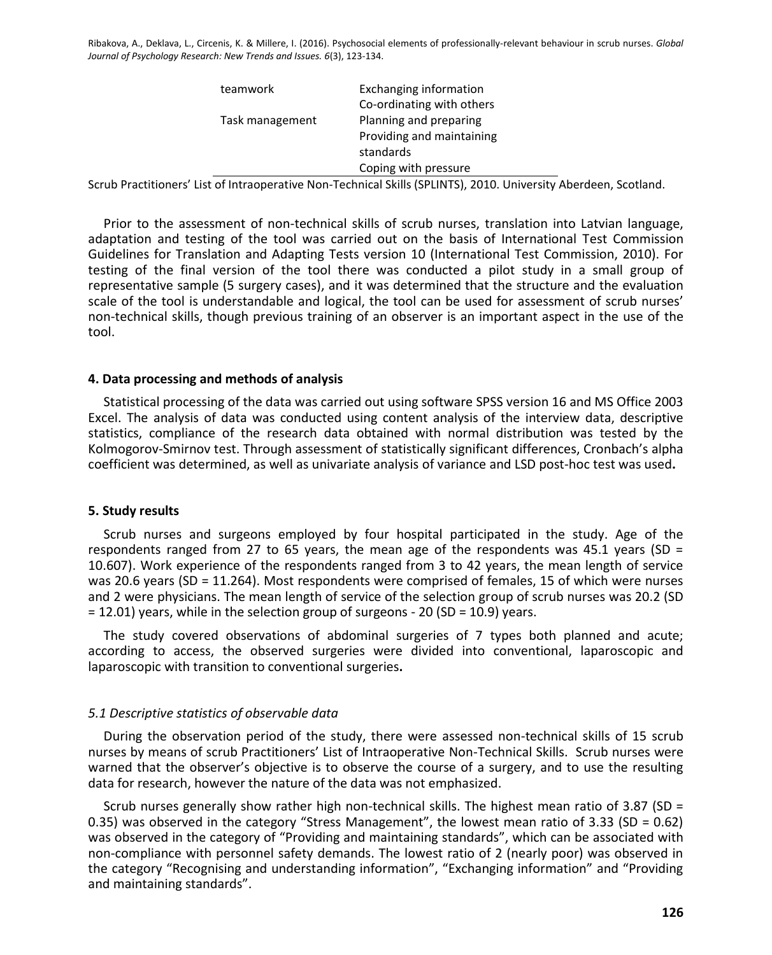| Exchanging information    |
|---------------------------|
| Co-ordinating with others |
| Planning and preparing    |
| Providing and maintaining |
| standards                 |
| Coping with pressure      |
|                           |

Scrub Practitioners' List of Intraoperative Non-Technical Skills (SPLINTS), 2010. University Aberdeen, Scotland.

Prior to the assessment of non-technical skills of scrub nurses, translation into Latvian language, adaptation and testing of the tool was carried out on the basis of International Test Commission Guidelines for Translation and Adapting Tests version 10 (International Test Commission, 2010). For testing of the final version of the tool there was conducted a pilot study in a small group of representative sample (5 surgery cases), and it was determined that the structure and the evaluation scale of the tool is understandable and logical, the tool can be used for assessment of scrub nurses' non-technical skills, though previous training of an observer is an important aspect in the use of the tool.

#### **4. Data processing and methods of analysis**

Statistical processing of the data was carried out using software SPSS version 16 and MS Office 2003 Excel. The analysis of data was conducted using content analysis of the interview data, descriptive statistics, compliance of the research data obtained with normal distribution was tested by the Kolmogorov-Smirnov test. Through assessment of statistically significant differences, Cronbach's alpha coefficient was determined, as well as univariate analysis of variance and LSD post-hoc test was used**.**

#### **5. Study results**

Scrub nurses and surgeons employed by four hospital participated in the study. Age of the respondents ranged from 27 to 65 years, the mean age of the respondents was 45.1 years (SD = 10.607). Work experience of the respondents ranged from 3 to 42 years, the mean length of service was 20.6 years (SD = 11.264). Most respondents were comprised of females, 15 of which were nurses and 2 were physicians. The mean length of service of the selection group of scrub nurses was 20.2 (SD = 12.01) years, while in the selection group of surgeons - 20 (SD = 10.9) years.

The study covered observations of abdominal surgeries of 7 types both planned and acute; according to access, the observed surgeries were divided into conventional, laparoscopic and laparoscopic with transition to conventional surgeries**.** 

#### *5.1 Descriptive statistics of observable data*

During the observation period of the study, there were assessed non-technical skills of 15 scrub nurses by means of scrub Practitioners' List of Intraoperative Non-Technical Skills. Scrub nurses were warned that the observer's objective is to observe the course of a surgery, and to use the resulting data for research, however the nature of the data was not emphasized.

Scrub nurses generally show rather high non-technical skills. The highest mean ratio of 3.87 (SD = 0.35) was observed in the category "Stress Management", the lowest mean ratio of 3.33 (SD = 0.62) was observed in the category of "Providing and maintaining standards", which can be associated with non-compliance with personnel safety demands. The lowest ratio of 2 (nearly poor) was observed in the category "Recognising and understanding information", "Exchanging information" and "Providing and maintaining standards".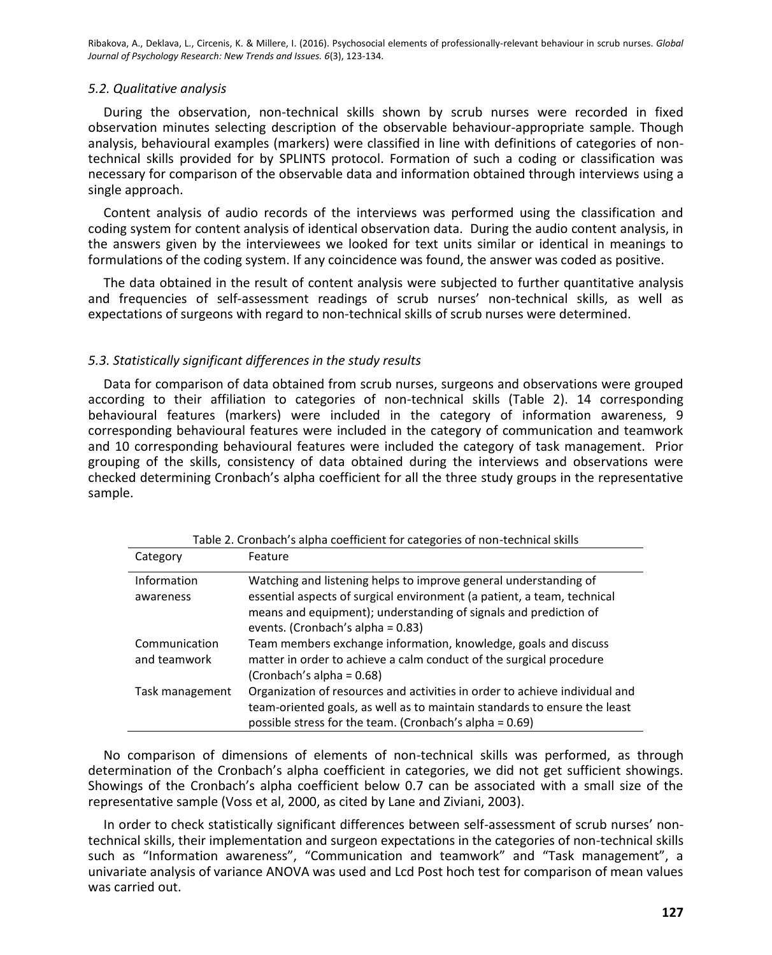## *5.2. Qualitative analysis*

During the observation, non-technical skills shown by scrub nurses were recorded in fixed observation minutes selecting description of the observable behaviour-appropriate sample. Though analysis, behavioural examples (markers) were classified in line with definitions of categories of nontechnical skills provided for by SPLINTS protocol. Formation of such a coding or classification was necessary for comparison of the observable data and information obtained through interviews using a single approach.

Content analysis of audio records of the interviews was performed using the classification and coding system for content analysis of identical observation data. During the audio content analysis, in the answers given by the interviewees we looked for text units similar or identical in meanings to formulations of the coding system. If any coincidence was found, the answer was coded as positive.

The data obtained in the result of content analysis were subjected to further quantitative analysis and frequencies of self-assessment readings of scrub nurses' non-technical skills, as well as expectations of surgeons with regard to non-technical skills of scrub nurses were determined.

# *5.3. Statistically significant differences in the study results*

Data for comparison of data obtained from scrub nurses, surgeons and observations were grouped according to their affiliation to categories of non-technical skills (Table 2). 14 corresponding behavioural features (markers) were included in the category of information awareness, 9 corresponding behavioural features were included in the category of communication and teamwork and 10 corresponding behavioural features were included the category of task management. Prior grouping of the skills, consistency of data obtained during the interviews and observations were checked determining Cronbach's alpha coefficient for all the three study groups in the representative sample.

| Table 2. Cronbach's alpha coefficient for categories of non-technical skills |                                                                             |  |  |  |  |
|------------------------------------------------------------------------------|-----------------------------------------------------------------------------|--|--|--|--|
| Category                                                                     | Feature                                                                     |  |  |  |  |
| Information                                                                  | Watching and listening helps to improve general understanding of            |  |  |  |  |
| awareness                                                                    | essential aspects of surgical environment (a patient, a team, technical     |  |  |  |  |
|                                                                              | means and equipment); understanding of signals and prediction of            |  |  |  |  |
|                                                                              | events. (Cronbach's alpha = 0.83)                                           |  |  |  |  |
| Communication                                                                | Team members exchange information, knowledge, goals and discuss             |  |  |  |  |
| and teamwork                                                                 | matter in order to achieve a calm conduct of the surgical procedure         |  |  |  |  |
|                                                                              | (Cronbach's alpha = 0.68)                                                   |  |  |  |  |
| Task management                                                              | Organization of resources and activities in order to achieve individual and |  |  |  |  |
|                                                                              | team-oriented goals, as well as to maintain standards to ensure the least   |  |  |  |  |
|                                                                              | possible stress for the team. (Cronbach's alpha = 0.69)                     |  |  |  |  |

No comparison of dimensions of elements of non-technical skills was performed, as through determination of the Cronbach's alpha coefficient in categories, we did not get sufficient showings. Showings of the Cronbach's alpha coefficient below 0.7 can be associated with a small size of the representative sample (Voss et al, 2000, as cited by Lane and Ziviani, 2003).

In order to check statistically significant differences between self-assessment of scrub nurses' nontechnical skills, their implementation and surgeon expectations in the categories of non-technical skills such as "Information awareness", "Communication and teamwork" and "Task management", a univariate analysis of variance ANOVA was used and Lcd Post hoch test for comparison of mean values was carried out.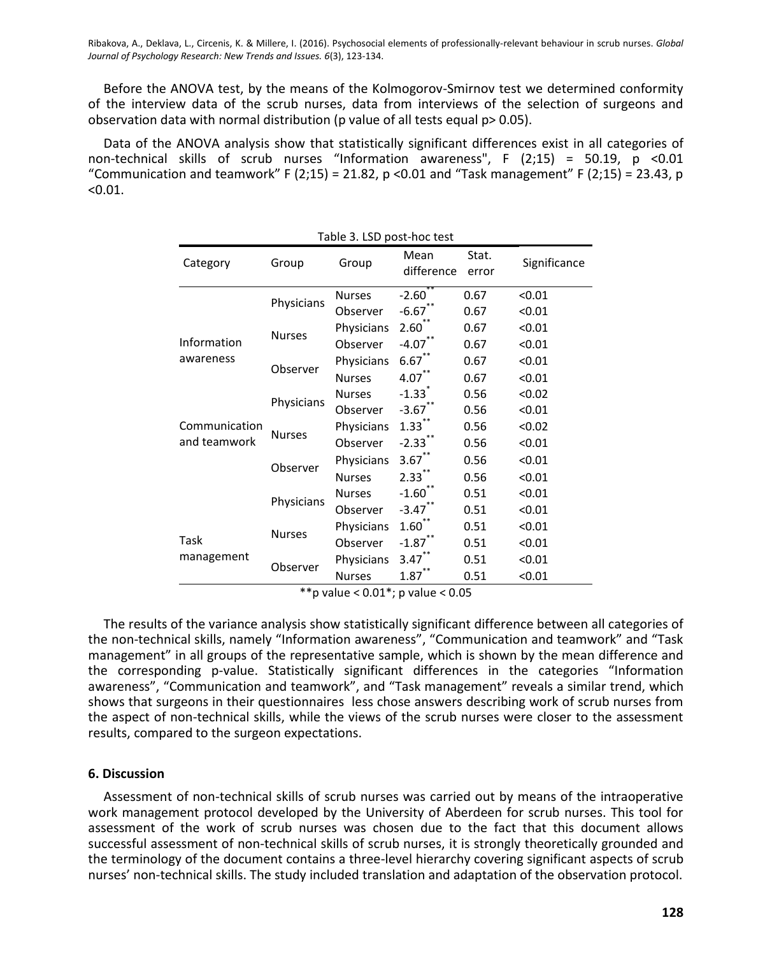Before the ANOVA test, by the means of the Kolmogorov-Smirnov test we determined conformity of the interview data of the scrub nurses, data from interviews of the selection of surgeons and observation data with normal distribution (p value of all tests equal p> 0.05).

Data of the ANOVA analysis show that statistically significant differences exist in all categories of non-technical skills of scrub nurses "Information awareness", F (2;15) = 50.19, p <0.01 "Communication and teamwork" F (2;15) = 21.82, p < 0.01 and "Task management" F (2;15) = 23.43, p  $< 0.01.$ 

| Table 3. LSD post-hoc test    |               |               |                      |                |              |  |  |
|-------------------------------|---------------|---------------|----------------------|----------------|--------------|--|--|
| Category                      | Group         | Group         | Mean<br>difference   | Stat.<br>error | Significance |  |  |
| Information<br>awareness      | Physicians    | <b>Nurses</b> | $-2.60$              | 0.67           | < 0.01       |  |  |
|                               |               | Observer      | $-6.67$              | 0.67           | < 0.01       |  |  |
|                               | <b>Nurses</b> | Physicians    | $2.60^{**}$          | 0.67           | < 0.01       |  |  |
|                               |               | Observer      | $-4.07$ <sup>*</sup> | 0.67           | < 0.01       |  |  |
|                               | Observer      | Physicians    | $6.67$ **            | 0.67           | < 0.01       |  |  |
|                               |               | <b>Nurses</b> | $4.07$ **            | 0.67           | < 0.01       |  |  |
| Communication<br>and teamwork | Physicians    | <b>Nurses</b> | $-1.33$ <sup>*</sup> | 0.56           | < 0.02       |  |  |
|                               |               | Observer      | $-3.67$              | 0.56           | < 0.01       |  |  |
|                               | <b>Nurses</b> | Physicians    | $1.33$ **            | 0.56           | < 0.02       |  |  |
|                               |               | Observer      | $-2.33$              | 0.56           | < 0.01       |  |  |
|                               | Observer      | Physicians    | $3.67$ **            | 0.56           | < 0.01       |  |  |
|                               |               | <b>Nurses</b> | $2.33***$            | 0.56           | < 0.01       |  |  |
|                               | Physicians    | <b>Nurses</b> | $-1.60$              | 0.51           | < 0.01       |  |  |
|                               |               | Observer      | $-3.47$              | 0.51           | < 0.01       |  |  |
| Task<br>management            | <b>Nurses</b> | Physicians    | $1.60^{**}$          | 0.51           | < 0.01       |  |  |
|                               |               | Observer      | $-1.87$ **           | 0.51           | < 0.01       |  |  |
|                               | Observer      | Physicians    | 3.47                 | 0.51           | < 0.01       |  |  |
|                               |               | <b>Nurses</b> | 1.87                 | 0.51           | < 0.01       |  |  |

<sup>\*\*</sup>p value <  $0.01$ \*; p value <  $0.05$ 

The results of the variance analysis show statistically significant difference between all categories of the non-technical skills, namely "Information awareness", "Communication and teamwork" and "Task management" in all groups of the representative sample, which is shown by the mean difference and the corresponding p-value. Statistically significant differences in the categories "Information awareness", "Communication and teamwork", and "Task management" reveals a similar trend, which shows that surgeons in their questionnaires less chose answers describing work of scrub nurses from the aspect of non-technical skills, while the views of the scrub nurses were closer to the assessment results, compared to the surgeon expectations.

# **6. Discussion**

Assessment of non-technical skills of scrub nurses was carried out by means of the intraoperative work management protocol developed by the University of Aberdeen for scrub nurses. This tool for assessment of the work of scrub nurses was chosen due to the fact that this document allows successful assessment of non-technical skills of scrub nurses, it is strongly theoretically grounded and the terminology of the document contains a three-level hierarchy covering significant aspects of scrub nurses' non-technical skills. The study included translation and adaptation of the observation protocol.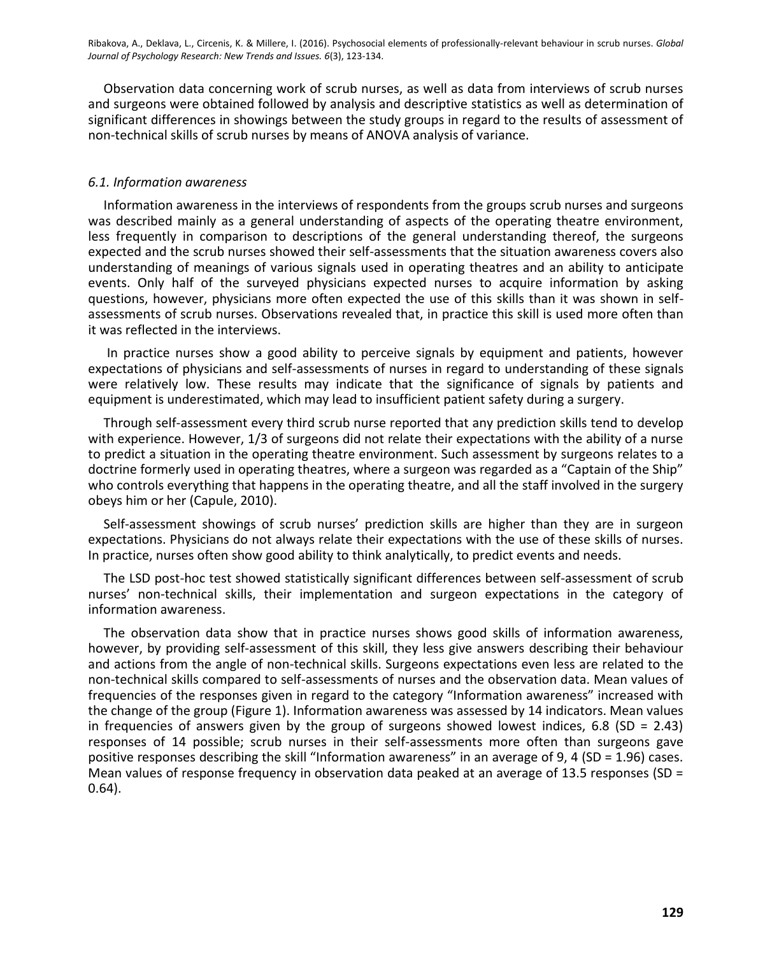Observation data concerning work of scrub nurses, as well as data from interviews of scrub nurses and surgeons were obtained followed by analysis and descriptive statistics as well as determination of significant differences in showings between the study groups in regard to the results of assessment of non-technical skills of scrub nurses by means of ANOVA analysis of variance.

# *6.1. Information awareness*

Information awareness in the interviews of respondents from the groups scrub nurses and surgeons was described mainly as a general understanding of aspects of the operating theatre environment, less frequently in comparison to descriptions of the general understanding thereof, the surgeons expected and the scrub nurses showed their self-assessments that the situation awareness covers also understanding of meanings of various signals used in operating theatres and an ability to anticipate events. Only half of the surveyed physicians expected nurses to acquire information by asking questions, however, physicians more often expected the use of this skills than it was shown in selfassessments of scrub nurses. Observations revealed that, in practice this skill is used more often than it was reflected in the interviews.

In practice nurses show a good ability to perceive signals by equipment and patients, however expectations of physicians and self-assessments of nurses in regard to understanding of these signals were relatively low. These results may indicate that the significance of signals by patients and equipment is underestimated, which may lead to insufficient patient safety during a surgery.

Through self-assessment every third scrub nurse reported that any prediction skills tend to develop with experience. However, 1/3 of surgeons did not relate their expectations with the ability of a nurse to predict a situation in the operating theatre environment. Such assessment by surgeons relates to a doctrine formerly used in operating theatres, where a surgeon was regarded as a "Captain of the Ship" who controls everything that happens in the operating theatre, and all the staff involved in the surgery obeys him or her (Capule, 2010).

Self-assessment showings of scrub nurses' prediction skills are higher than they are in surgeon expectations. Physicians do not always relate their expectations with the use of these skills of nurses. In practice, nurses often show good ability to think analytically, to predict events and needs.

The LSD post-hoc test showed statistically significant differences between self-assessment of scrub nurses' non-technical skills, their implementation and surgeon expectations in the category of information awareness.

The observation data show that in practice nurses shows good skills of information awareness, however, by providing self-assessment of this skill, they less give answers describing their behaviour and actions from the angle of non-technical skills. Surgeons expectations even less are related to the non-technical skills compared to self-assessments of nurses and the observation data. Mean values of frequencies of the responses given in regard to the category "Information awareness" increased with the change of the group (Figure 1). Information awareness was assessed by 14 indicators. Mean values in frequencies of answers given by the group of surgeons showed lowest indices, 6.8 (SD = 2.43) responses of 14 possible; scrub nurses in their self-assessments more often than surgeons gave positive responses describing the skill "Information awareness" in an average of 9, 4 (SD = 1.96) cases. Mean values of response frequency in observation data peaked at an average of 13.5 responses (SD = 0.64).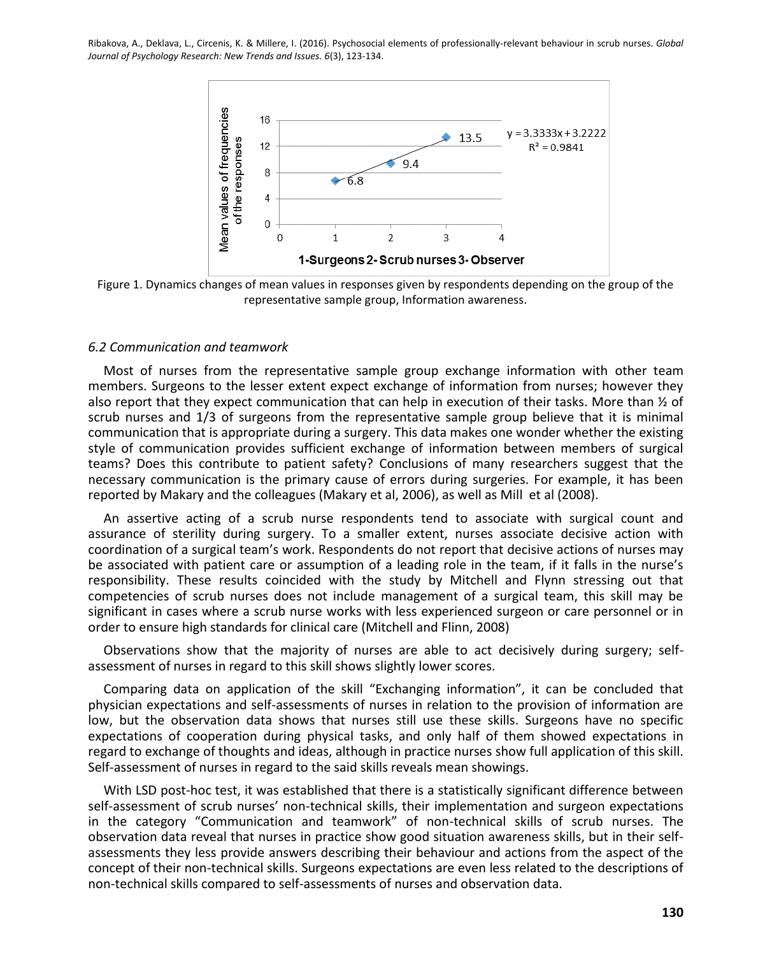

Figure 1. Dynamics changes of mean values in responses given by respondents depending on the group of the representative sample group, Information awareness.

#### *6.2 Communication and teamwork*

Most of nurses from the representative sample group exchange information with other team members. Surgeons to the lesser extent expect exchange of information from nurses; however they also report that they expect communication that can help in execution of their tasks. More than  $\frac{1}{2}$  of scrub nurses and 1/3 of surgeons from the representative sample group believe that it is minimal communication that is appropriate during a surgery. This data makes one wonder whether the existing style of communication provides sufficient exchange of information between members of surgical teams? Does this contribute to patient safety? Conclusions of many researchers suggest that the necessary communication is the primary cause of errors during surgeries. For example, it has been reported by Makary and the colleagues (Makary et al, 2006), as well as Mill et al (2008).

An assertive acting of a scrub nurse respondents tend to associate with surgical count and assurance of sterility during surgery. To a smaller extent, nurses associate decisive action with coordination of a surgical team's work. Respondents do not report that decisive actions of nurses may be associated with patient care or assumption of a leading role in the team, if it falls in the nurse's responsibility. These results coincided with the study by Mitchell and Flynn stressing out that competencies of scrub nurses does not include management of a surgical team, this skill may be significant in cases where a scrub nurse works with less experienced surgeon or care personnel or in order to ensure high standards for clinical care (Mitchell and Flinn, 2008)

Observations show that the majority of nurses are able to act decisively during surgery; selfassessment of nurses in regard to this skill shows slightly lower scores.

Comparing data on application of the skill "Exchanging information", it can be concluded that physician expectations and self-assessments of nurses in relation to the provision of information are low, but the observation data shows that nurses still use these skills. Surgeons have no specific expectations of cooperation during physical tasks, and only half of them showed expectations in regard to exchange of thoughts and ideas, although in practice nurses show full application of this skill. Self-assessment of nurses in regard to the said skills reveals mean showings.

With LSD post-hoc test, it was established that there is a statistically significant difference between self-assessment of scrub nurses' non-technical skills, their implementation and surgeon expectations in the category "Communication and teamwork" of non-technical skills of scrub nurses. The observation data reveal that nurses in practice show good situation awareness skills, but in their selfassessments they less provide answers describing their behaviour and actions from the aspect of the concept of their non-technical skills. Surgeons expectations are even less related to the descriptions of non-technical skills compared to self-assessments of nurses and observation data.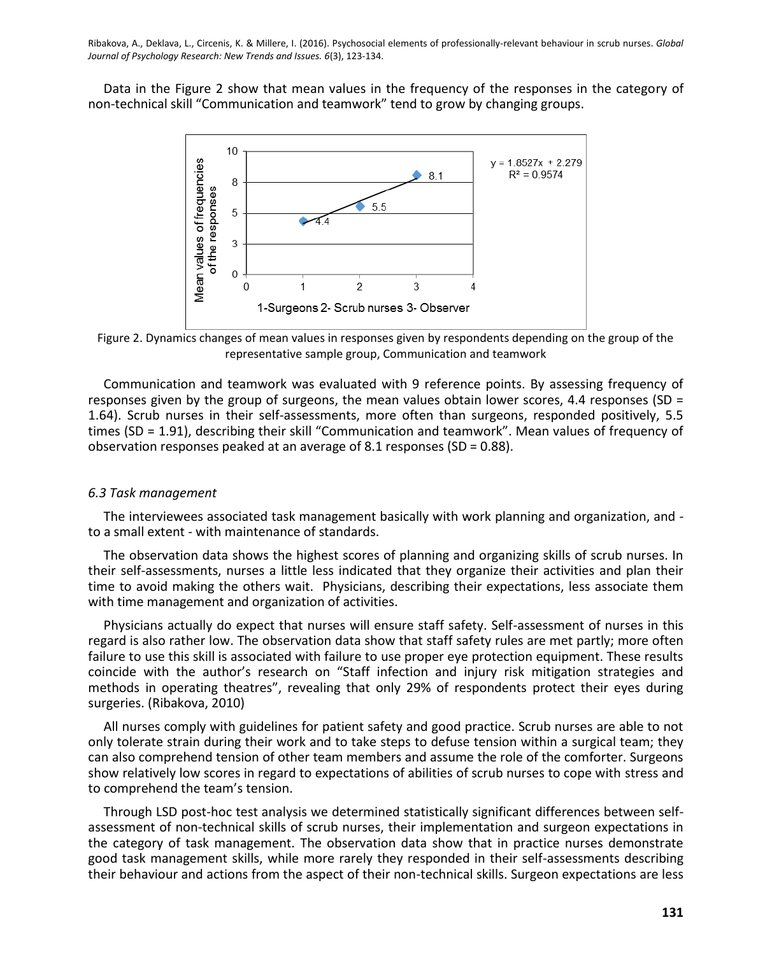Data in the Figure 2 show that mean values in the frequency of the responses in the category of non-technical skill "Communication and teamwork" tend to grow by changing groups.



Figure 2. Dynamics changes of mean values in responses given by respondents depending on the group of the representative sample group, Communication and teamwork

Communication and teamwork was evaluated with 9 reference points. By assessing frequency of responses given by the group of surgeons, the mean values obtain lower scores, 4.4 responses (SD = 1.64). Scrub nurses in their self-assessments, more often than surgeons, responded positively, 5.5 times (SD = 1.91), describing their skill "Communication and teamwork". Mean values of frequency of observation responses peaked at an average of 8.1 responses (SD = 0.88).

#### *6.3 Task management*

The interviewees associated task management basically with work planning and organization, and to a small extent - with maintenance of standards.

The observation data shows the highest scores of planning and organizing skills of scrub nurses. In their self-assessments, nurses a little less indicated that they organize their activities and plan their time to avoid making the others wait. Physicians, describing their expectations, less associate them with time management and organization of activities.

Physicians actually do expect that nurses will ensure staff safety. Self-assessment of nurses in this regard is also rather low. The observation data show that staff safety rules are met partly; more often failure to use this skill is associated with failure to use proper eye protection equipment. These results coincide with the author's research on "Staff infection and injury risk mitigation strategies and methods in operating theatres", revealing that only 29% of respondents protect their eyes during surgeries. (Ribakova, 2010)

All nurses comply with guidelines for patient safety and good practice. Scrub nurses are able to not only tolerate strain during their work and to take steps to defuse tension within a surgical team; they can also comprehend tension of other team members and assume the role of the comforter. Surgeons show relatively low scores in regard to expectations of abilities of scrub nurses to cope with stress and to comprehend the team's tension.

Through LSD post-hoc test analysis we determined statistically significant differences between selfassessment of non-technical skills of scrub nurses, their implementation and surgeon expectations in the category of task management. The observation data show that in practice nurses demonstrate good task management skills, while more rarely they responded in their self-assessments describing their behaviour and actions from the aspect of their non-technical skills. Surgeon expectations are less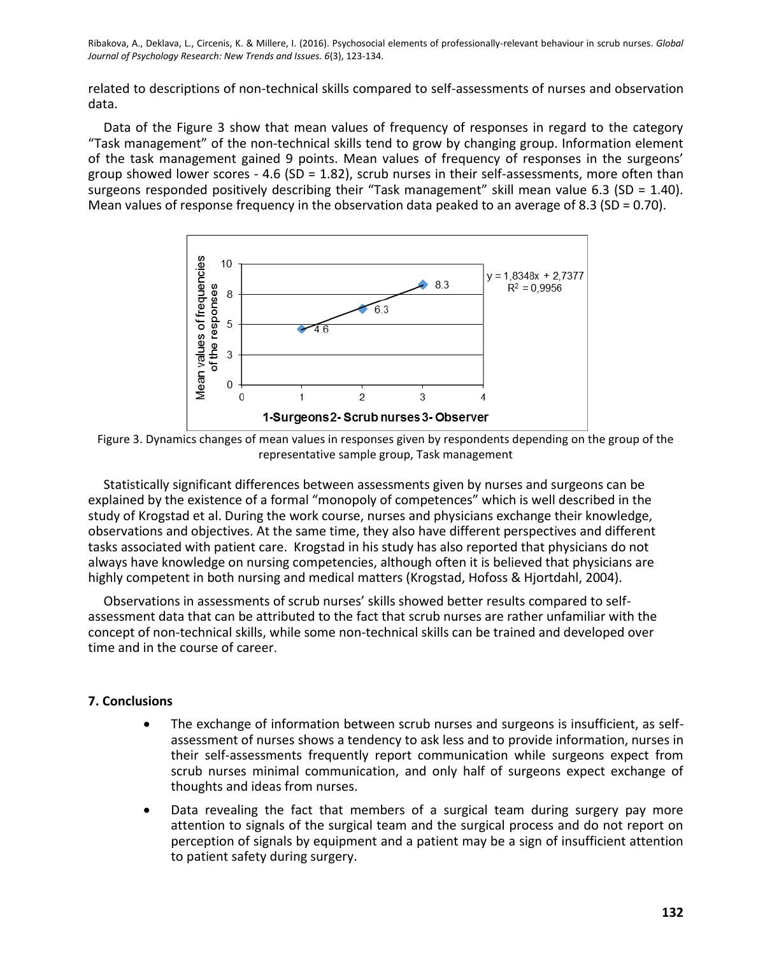related to descriptions of non-technical skills compared to self-assessments of nurses and observation data.

Data of the Figure 3 show that mean values of frequency of responses in regard to the category "Task management" of the non-technical skills tend to grow by changing group. Information element of the task management gained 9 points. Mean values of frequency of responses in the surgeons' group showed lower scores - 4.6 (SD = 1.82), scrub nurses in their self-assessments, more often than surgeons responded positively describing their "Task management" skill mean value 6.3 (SD = 1.40). Mean values of response frequency in the observation data peaked to an average of 8.3 (SD = 0.70).



Figure 3. Dynamics changes of mean values in responses given by respondents depending on the group of the representative sample group, Task management

Statistically significant differences between assessments given by nurses and surgeons can be explained by the existence of a formal "monopoly of competences" which is well described in the study of Krogstad et al. During the work course, nurses and physicians exchange their knowledge, observations and objectives. At the same time, they also have different perspectives and different tasks associated with patient care. Krogstad in his study has also reported that physicians do not always have knowledge on nursing competencies, although often it is believed that physicians are highly competent in both nursing and medical matters (Krogstad, Hofoss & Hjortdahl, 2004).

Observations in assessments of scrub nurses' skills showed better results compared to selfassessment data that can be attributed to the fact that scrub nurses are rather unfamiliar with the concept of non-technical skills, while some non-technical skills can be trained and developed over time and in the course of career.

# **7. Conclusions**

- The exchange of information between scrub nurses and surgeons is insufficient, as selfassessment of nurses shows a tendency to ask less and to provide information, nurses in their self-assessments frequently report communication while surgeons expect from scrub nurses minimal communication, and only half of surgeons expect exchange of thoughts and ideas from nurses.
- Data revealing the fact that members of a surgical team during surgery pay more attention to signals of the surgical team and the surgical process and do not report on perception of signals by equipment and a patient may be a sign of insufficient attention to patient safety during surgery.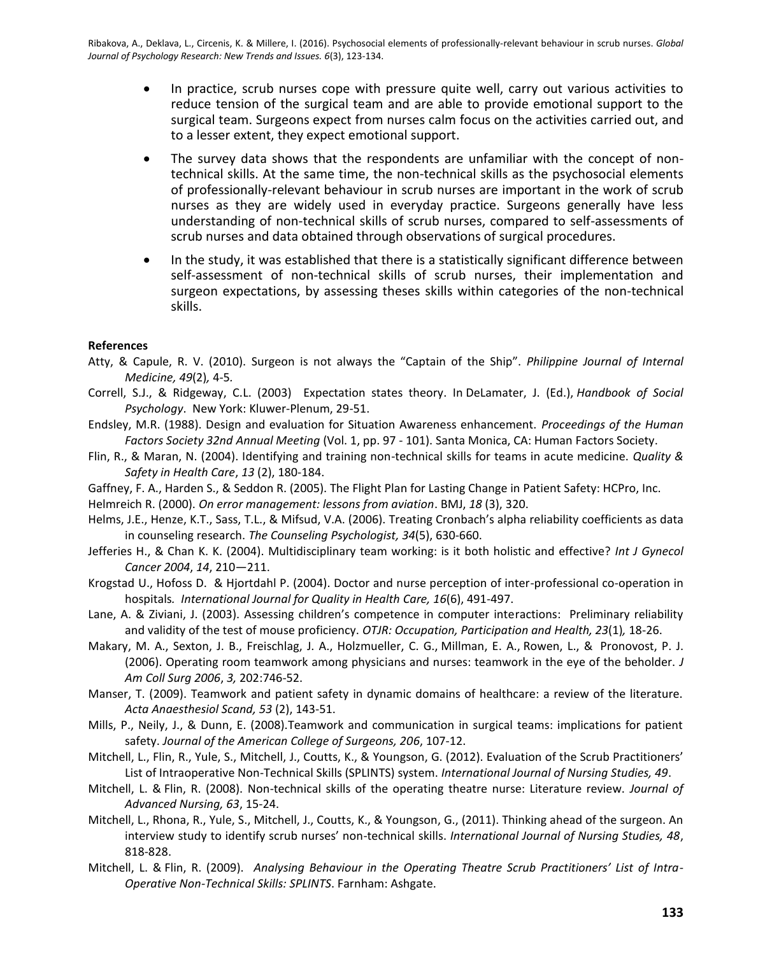- In practice, scrub nurses cope with pressure quite well, carry out various activities to reduce tension of the surgical team and are able to provide emotional support to the surgical team. Surgeons expect from nurses calm focus on the activities carried out, and to a lesser extent, they expect emotional support.
- The survey data shows that the respondents are unfamiliar with the concept of nontechnical skills. At the same time, the non-technical skills as the psychosocial elements of professionally-relevant behaviour in scrub nurses are important in the work of scrub nurses as they are widely used in everyday practice. Surgeons generally have less understanding of non-technical skills of scrub nurses, compared to self-assessments of scrub nurses and data obtained through observations of surgical procedures.
- In the study, it was established that there is a statistically significant difference between self-assessment of non-technical skills of scrub nurses, their implementation and surgeon expectations, by assessing theses skills within categories of the non-technical skills.

# **References**

- Atty, & Capule, R. V. (2010). Surgeon is not always the "Captain of the Ship". *Philippine Journal of Internal Medicine, 49*(2)*,* 4-5*.*
- Correll, S.J., & Ridgeway, C.L. (2003) Expectation states theory. In DeLamater, J. (Ed.), *Handbook of Social Psychology*. New York: Kluwer-Plenum, 29-51.
- Endsley, M.R. (1988). Design and evaluation for Situation Awareness enhancement. *Proceedings of the Human Factors Society 32nd Annual Meeting* (Vol. 1, pp. 97 - 101). Santa Monica, CA: Human Factors Society.
- Flin, R., & Maran, N. (2004). Identifying and training non-technical skills for teams in acute medicine. *Quality & Safety in Health Care*, *13* (2), 180-184.
- Gaffney, F. A., Harden S., & Seddon R. (2005). The Flight Plan for Lasting Change in Patient Safety: HCPro, Inc.
- Helmreich R. (2000). *On error management: lessons from aviation*. BMJ, *18* (3), 320.
- Helms, J.E., Henze, K.T., Sass, T.L., & Mifsud, V.A. (2006). Treating Cronbach's alpha reliability coefficients as data in counseling research. *The Counseling Psychologist, 34*(5), 630-660.
- Jefferies H., & Chan K. K. (2004). Multidisciplinary team working: is it both holistic and effective? *Int J Gynecol Cancer 2004*, *14*, 210—211.
- Krogstad U., Hofoss D. & Hjortdahl P. (2004). Doctor and nurse perception of inter-professional co-operation in hospitals*. International Journal for Quality in Health Care, 16*(6), 491-497.
- Lane, A. & Ziviani, J. (2003). Assessing children's competence in computer interactions: Preliminary reliability and validity of the test of mouse proficiency. *OTJR: Occupation, Participation and Health, 23*(1)*,* 18-26.
- Makary, M. A., Sexton, J. B., Freischlag, J. A., [Holzmueller,](http://www.ncbi.nlm.nih.gov/pubmed/?term=Holzmueller%20CG%5BAuthor%5D&cauthor=true&cauthor_uid=16648014) C. G., [Millman,](http://www.ncbi.nlm.nih.gov/pubmed/?term=Millman%20EA%5BAuthor%5D&cauthor=true&cauthor_uid=16648014) E. A., [Rowen,](http://www.ncbi.nlm.nih.gov/pubmed/?term=Rowen%20L%5BAuthor%5D&cauthor=true&cauthor_uid=16648014) L., & [Pronovost,](http://www.ncbi.nlm.nih.gov/pubmed/?term=Pronovost%20PJ%5BAuthor%5D&cauthor=true&cauthor_uid=16648014) P. J. (2006). Operating room teamwork among physicians and nurses: teamwork in the eye of the beholder. *J Am Coll Surg 2006*, *3,* 202:746-52.
- Manser, T. (2009). Teamwork and patient safety in dynamic domains of healthcare: a review of the literature. *[Acta Anaesthesiol Scand,](http://www.ncbi.nlm.nih.gov/pubmed/19032571) 53* (2), 143-51.
- Mills, P., Neily, J., & Dunn, E. (2008).Teamwork and communication in surgical teams: implications for patient safety. *Journal of the American College of Surgeons, 206*, 107-12.
- Mitchell, L., Flin, R., Yule, S., Mitchell, J., Coutts, K., & Youngson, G. (2012). Evaluation of the Scrub Practitioners' List of Intraoperative Non-Technical Skills (SPLINTS) system. *International Journal of Nursing Studies, 49*.
- Mitchell, L. & Flin, R. (2008). Non-technical skills of the operating theatre nurse: Literature review. *Journal of Advanced Nursing, 63*, 15-24.
- Mitchell, L., Rhona, R., Yule, S., Mitchell, J., Coutts, K., & Youngson, G., (2011). Thinking ahead of the surgeon. An interview study to identify scrub nurses' non-technical skills. *International Journal of Nursing Studies, 48*, 818-828.
- Mitchell, L. & Flin, R. (2009). *Analysing Behaviour in the Operating Theatre Scrub Practitioners' List of Intra-Operative Non-Technical Skills: SPLINTS*. Farnham: Ashgate.